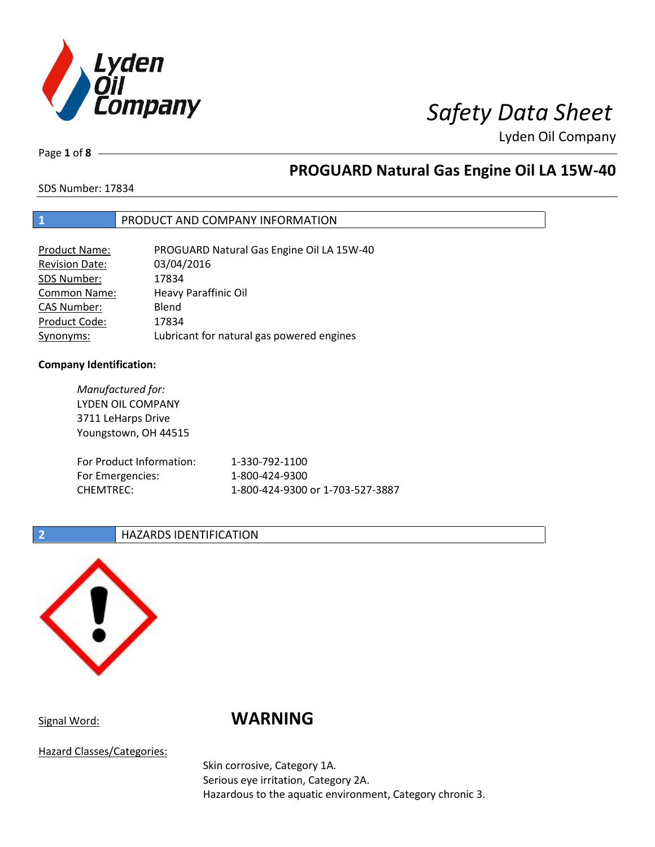

Lyden Oil Company

Page **1** of **8**

# **PROGUARD Natural Gas Engine Oil LA 15W-40**

SDS Number: 17834

## **1** PRODUCT AND COMPANY INFORMATION

| Product Name:         | PROGUARD Natural Gas Engine Oil LA 15W-40 |
|-----------------------|-------------------------------------------|
| <b>Revision Date:</b> | 03/04/2016                                |
| SDS Number:           | 17834                                     |
| <b>Common Name:</b>   | Heavy Paraffinic Oil                      |
| <b>CAS Number:</b>    | Blend                                     |
| Product Code:         | 17834                                     |
| Synonyms:             | Lubricant for natural gas powered engines |

## **Company Identification:**

*Manufactured for:* LYDEN OIL COMPANY 3711 LeHarps Drive Youngstown, OH 44515 For Product Information: 1-330-792-1100 For Emergencies: 1-800-424-9300 CHEMTREC: 1-800-424-9300 or 1-703-527-3887

## **2 HAZARDS IDENTIFICATION**



# Signal Word: **WARNING**

Hazard Classes/Categories:

Skin corrosive, Category 1A. Serious eye irritation, Category 2A. Hazardous to the aquatic environment, Category chronic 3.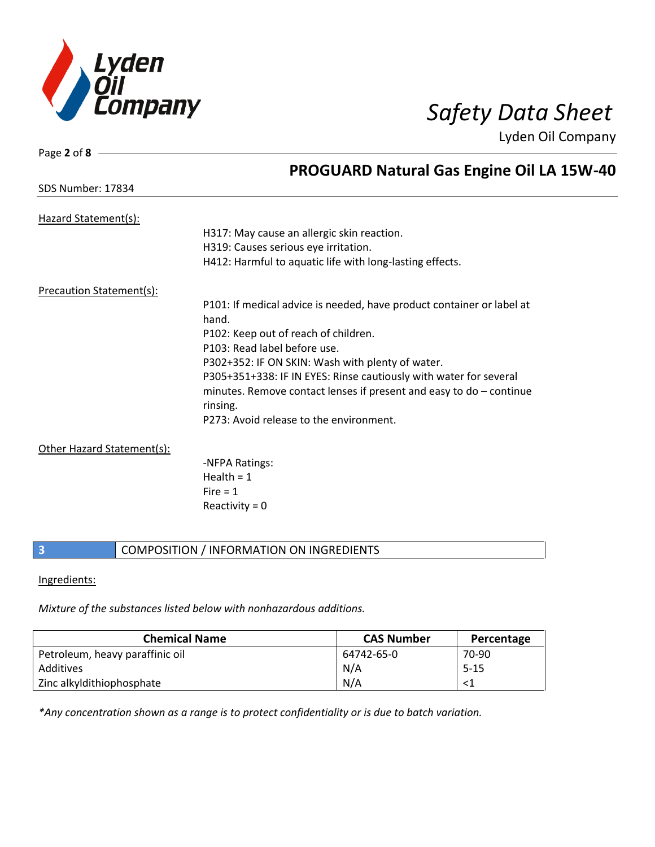

Page **2** of **8**

SDS Number: 17834

Lyden Oil Company

# **PROGUARD Natural Gas Engine Oil LA 15W-40**

| Hazard Statement(s):            |                                                                       |
|---------------------------------|-----------------------------------------------------------------------|
|                                 | H317: May cause an allergic skin reaction.                            |
|                                 |                                                                       |
|                                 | H319: Causes serious eye irritation.                                  |
|                                 | H412: Harmful to aquatic life with long-lasting effects.              |
| <b>Precaution Statement(s):</b> |                                                                       |
|                                 | P101: If medical advice is needed, have product container or label at |
|                                 | hand.                                                                 |
|                                 | P102: Keep out of reach of children.                                  |
|                                 | P103: Read label before use.                                          |
|                                 | P302+352: IF ON SKIN: Wash with plenty of water.                      |
|                                 | P305+351+338: IF IN EYES: Rinse cautiously with water for several     |
|                                 | minutes. Remove contact lenses if present and easy to $do$ – continue |
|                                 | rinsing.                                                              |
|                                 | P273: Avoid release to the environment.                               |
|                                 |                                                                       |
| Other Hazard Statement(s):      |                                                                       |
|                                 | -NFPA Ratings:                                                        |
|                                 | Health = $1$                                                          |
|                                 | $Fire = 1$                                                            |
|                                 | Reactivity = $0$                                                      |

## **3** COMPOSITION / INFORMATION ON INGREDIENTS

## Ingredients:

*Mixture of the substances listed below with nonhazardous additions.*

| <b>Chemical Name</b>            | <b>CAS Number</b> | Percentage |
|---------------------------------|-------------------|------------|
| Petroleum, heavy paraffinic oil | 64742-65-0        | 70-90      |
| Additives                       | N/A               | $5 - 15$   |
| Zinc alkyldithiophosphate       | N/A               |            |

*\*Any concentration shown as a range is to protect confidentiality or is due to batch variation.*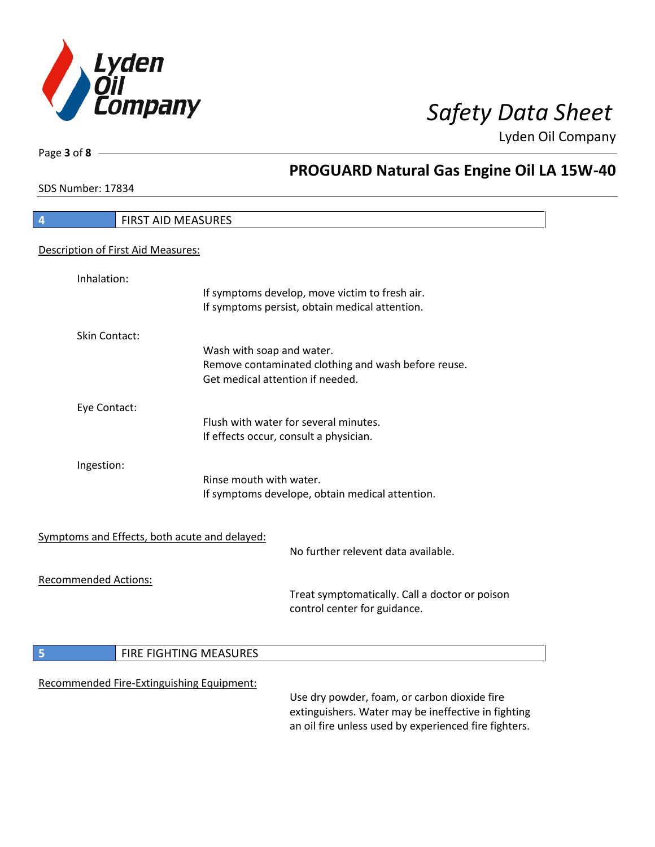

**PROGUARD Natural Gas Engine Oil LA 15W-40**

Lyden Oil Company

SDS Number: 17834

Page **3** of **8**

# **4** FIRST AID MEASURES Description of First Aid Measures: Inhalation: If symptoms develop, move victim to fresh air. If symptoms persist, obtain medical attention. Skin Contact: Wash with soap and water. Remove contaminated clothing and wash before reuse. Get medical attention if needed. Eye Contact: Flush with water for several minutes. If effects occur, consult a physician. Ingestion: Rinse mouth with water. If symptoms develope, obtain medical attention. Symptoms and Effects, both acute and delayed: No further relevent data available. Recommended Actions: Treat symptomatically. Call a doctor or poison control center for guidance. **5 FIRE FIGHTING MEASURES** Recommended Fire-Extinguishing Equipment: Use dry powder, foam, or carbon dioxide fire extinguishers. Water may be ineffective in fighting an oil fire unless used by experienced fire fighters.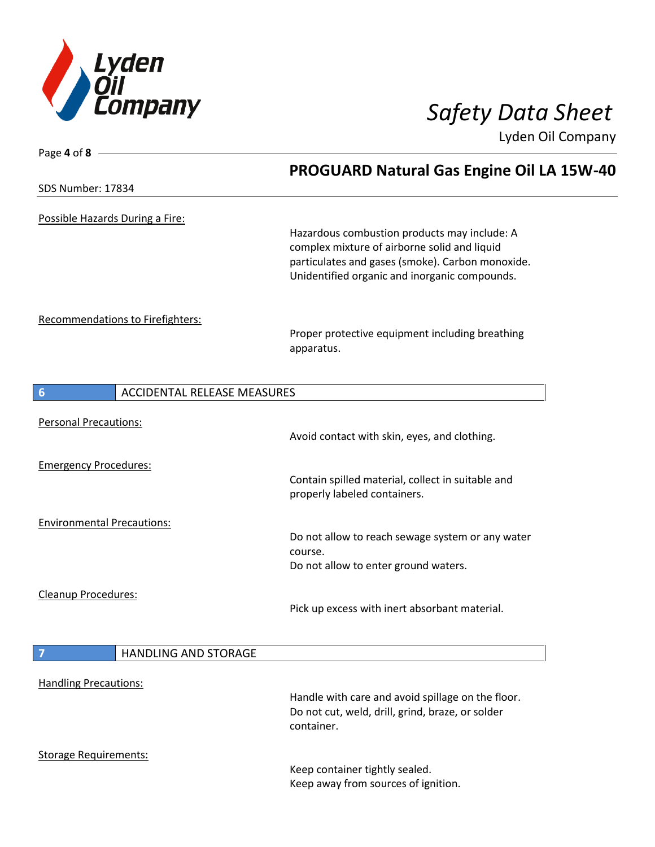

Lyden Oil Company

| Page 4 of 8 $-$                                       |                                                                                                                                                                                                   |
|-------------------------------------------------------|---------------------------------------------------------------------------------------------------------------------------------------------------------------------------------------------------|
|                                                       | <b>PROGUARD Natural Gas Engine Oil LA 15W-40</b>                                                                                                                                                  |
| SDS Number: 17834                                     |                                                                                                                                                                                                   |
| Possible Hazards During a Fire:                       | Hazardous combustion products may include: A<br>complex mixture of airborne solid and liquid<br>particulates and gases (smoke). Carbon monoxide.<br>Unidentified organic and inorganic compounds. |
| Recommendations to Firefighters:                      | Proper protective equipment including breathing<br>apparatus.                                                                                                                                     |
| $6\phantom{1}6$<br><b>ACCIDENTAL RELEASE MEASURES</b> |                                                                                                                                                                                                   |
| <b>Personal Precautions:</b>                          | Avoid contact with skin, eyes, and clothing.                                                                                                                                                      |
| <b>Emergency Procedures:</b>                          | Contain spilled material, collect in suitable and<br>properly labeled containers.                                                                                                                 |
| <b>Environmental Precautions:</b>                     | Do not allow to reach sewage system or any water<br>course.<br>Do not allow to enter ground waters.                                                                                               |
| Cleanup Procedures:                                   | Pick up excess with inert absorbant material.                                                                                                                                                     |
| <b>HANDLING AND STORAGE</b><br>7                      |                                                                                                                                                                                                   |
| <b>Handling Precautions:</b>                          | Handle with care and avoid spillage on the floor.<br>Do not cut, weld, drill, grind, braze, or solder<br>container.                                                                               |
| <b>Storage Requirements:</b>                          | Keep container tightly sealed.<br>Keep away from sources of ignition.                                                                                                                             |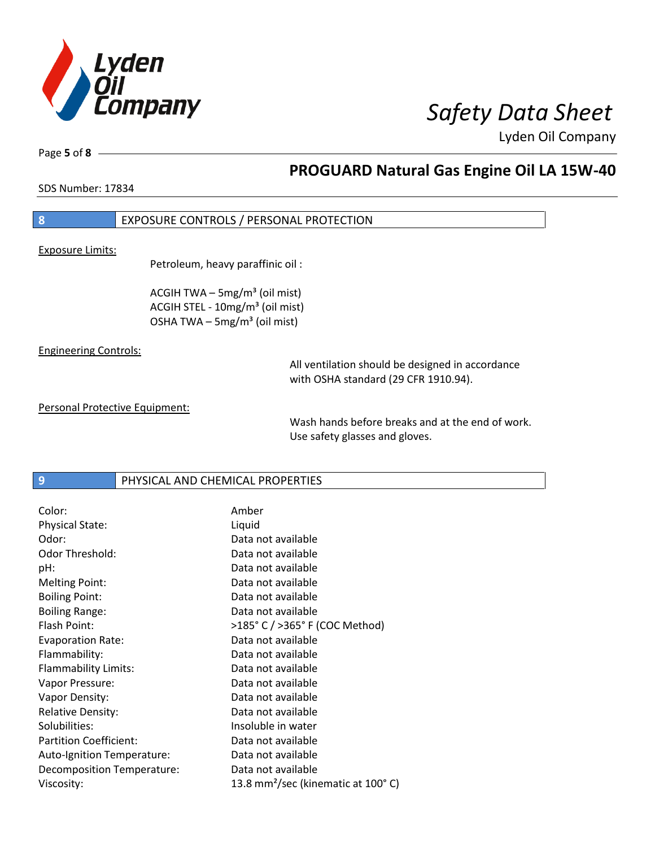

Lyden Oil Company

Page **5** of **8**

# **PROGUARD Natural Gas Engine Oil LA 15W-40**

SDS Number: 17834

## **8** EXPOSURE CONTROLS / PERSONAL PROTECTION

Exposure Limits:

Petroleum, heavy paraffinic oil :

ACGIH TWA  $-$  5mg/m<sup>3</sup> (oil mist) ACGIH STEL - 10mg/m<sup>3</sup> (oil mist) OSHA TWA - 5mg/m<sup>3</sup> (oil mist)

### Engineering Controls:

All ventilation should be designed in accordance with OSHA standard (29 CFR 1910.94).

Personal Protective Equipment:

Wash hands before breaks and at the end of work. Use safety glasses and gloves.

**9 PHYSICAL AND CHEMICAL PROPERTIES** 

| Color:                        | Amber                                          |
|-------------------------------|------------------------------------------------|
| <b>Physical State:</b>        | Liquid                                         |
| Odor:                         | Data not available                             |
| Odor Threshold:               | Data not available                             |
| pH:                           | Data not available                             |
| <b>Melting Point:</b>         | Data not available                             |
| <b>Boiling Point:</b>         | Data not available                             |
| <b>Boiling Range:</b>         | Data not available                             |
| Flash Point:                  | >185° C / >365° F (COC Method)                 |
| <b>Evaporation Rate:</b>      | Data not available                             |
| Flammability:                 | Data not available                             |
| Flammability Limits:          | Data not available                             |
| Vapor Pressure:               | Data not available                             |
| Vapor Density:                | Data not available                             |
| <b>Relative Density:</b>      | Data not available                             |
| Solubilities:                 | Insoluble in water                             |
| <b>Partition Coefficient:</b> | Data not available                             |
| Auto-Ignition Temperature:    | Data not available                             |
| Decomposition Temperature:    | Data not available                             |
| Viscosity:                    | 13.8 mm <sup>2</sup> /sec (kinematic at 100°C) |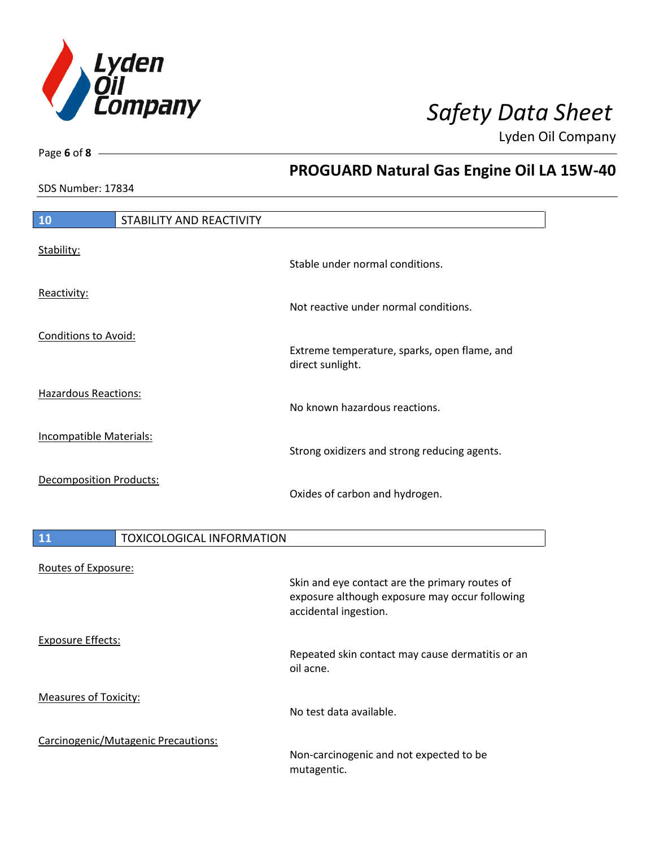

**PROGUARD Natural Gas Engine Oil LA 15W-40**

Repeated skin contact may cause dermatitis or an

Non-carcinogenic and not expected to be

Lyden Oil Company

SDS Number: 17834

Measures of Toxicity:

Carcinogenic/Mutagenic Precautions:

Page **6** of **8**

# **10** STABILITY AND REACTIVITY Stability: Stable under normal conditions. Reactivity: Not reactive under normal conditions. Conditions to Avoid: Extreme temperature, sparks, open flame, and direct sunlight. Hazardous Reactions: No known hazardous reactions. Incompatible Materials: Strong oxidizers and strong reducing agents. Decomposition Products: Oxides of carbon and hydrogen. 11 **TOXICOLOGICAL INFORMATION** Routes of Exposure: Skin and eye contact are the primary routes of exposure although exposure may occur following accidental ingestion. Exposure Effects:

oil acne.

mutagentic.

No test data available.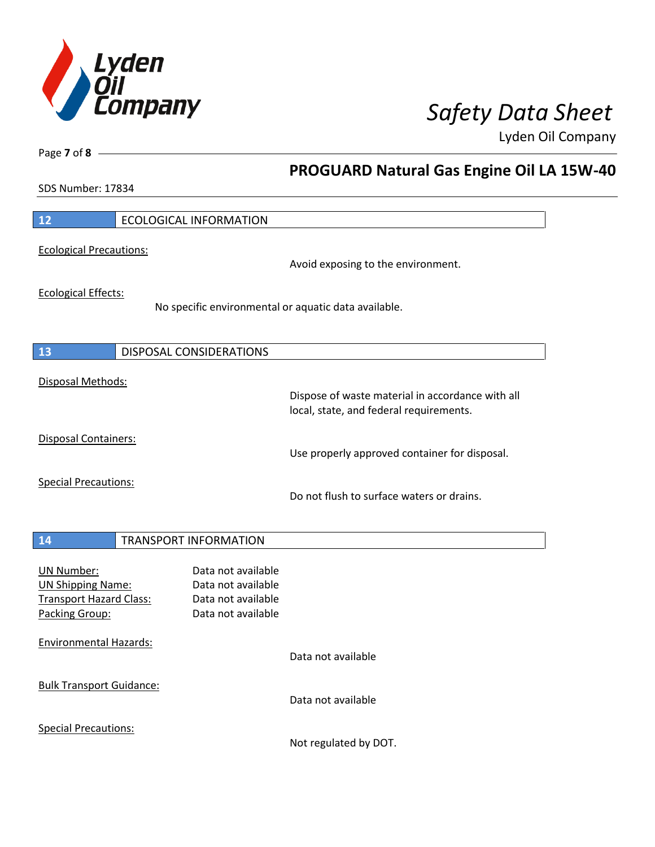

**PROGUARD Natural Gas Engine Oil LA 15W-40**

Lyden Oil Company

SDS Number: 17834

Page **7** of **8**

 $\mathbf l$ 

 $\overline{\phantom{a}}$ 

 $\overline{\phantom{a}}$ 

| 12                                                                                                | <b>ECOLOGICAL INFORMATION</b>                                                        |                                                                                             |
|---------------------------------------------------------------------------------------------------|--------------------------------------------------------------------------------------|---------------------------------------------------------------------------------------------|
| <b>Ecological Precautions:</b>                                                                    |                                                                                      | Avoid exposing to the environment.                                                          |
| <b>Ecological Effects:</b>                                                                        |                                                                                      | No specific environmental or aquatic data available.                                        |
| 13                                                                                                | <b>DISPOSAL CONSIDERATIONS</b>                                                       |                                                                                             |
| Disposal Methods:                                                                                 |                                                                                      | Dispose of waste material in accordance with all<br>local, state, and federal requirements. |
| <b>Disposal Containers:</b>                                                                       |                                                                                      | Use properly approved container for disposal.                                               |
| <b>Special Precautions:</b>                                                                       |                                                                                      | Do not flush to surface waters or drains.                                                   |
| 14                                                                                                | <b>TRANSPORT INFORMATION</b>                                                         |                                                                                             |
| <b>UN Number:</b><br><b>UN Shipping Name:</b><br><b>Transport Hazard Class:</b><br>Packing Group: | Data not available<br>Data not available<br>Data not available<br>Data not available |                                                                                             |
| <b>Environmental Hazards:</b>                                                                     |                                                                                      | Data not available                                                                          |
| <b>Bulk Transport Guidance:</b>                                                                   |                                                                                      | Data not available                                                                          |
| <b>Special Precautions:</b>                                                                       |                                                                                      |                                                                                             |

Not regulated by DOT.